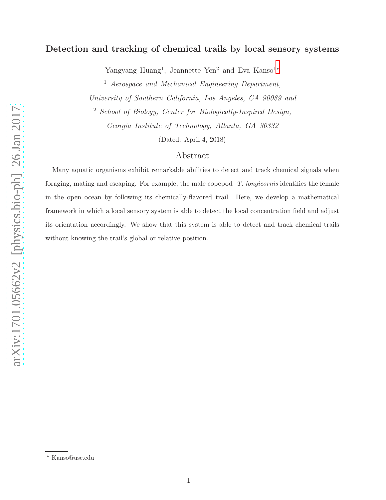# Detection and tracking of chemical trails by local sensory systems

Yangyang Huang<sup>1</sup>, Jeannette Yen<sup>2</sup> and Eva Kanso<sup>1[∗](#page-0-0)</sup>

<sup>1</sup> Aerospace and Mechanical Engineering Department,

University of Southern California, Los Angeles, CA 90089 and

<sup>2</sup> School of Biology, Center for Biologically-Inspired Design,

Georgia Institute of Technology, Atlanta, GA 30332

(Dated: April 4, 2018)

## Abstract

Many aquatic organisms exhibit remarkable abilities to detect and track chemical signals when foraging, mating and escaping. For example, the male copepod *T. longicornis* identifies the female in the open ocean by following its chemically-flavored trail. Here, we develop a mathematical framework in which a local sensory system is able to detect the local concentration field and adjust its orientation accordingly. We show that this system is able to detect and track chemical trails without knowing the trail's global or relative position.

<span id="page-0-0"></span><sup>∗</sup> Kanso@usc.edu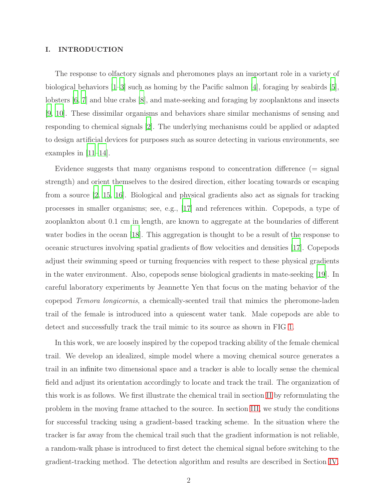#### I. INTRODUCTION

The response to olfactory signals and pheromones plays an important role in a variety of biological behaviors [\[1](#page-13-0)[–3\]](#page-13-1) such as homing by the Pacific salmon [\[4\]](#page-13-2), foraging by seabirds [\[5\]](#page-13-3), lobsters [\[6](#page-13-4), [7\]](#page-13-5) and blue crabs [\[8](#page-13-6)], and mate-seeking and foraging by zooplanktons and insects [\[9](#page-13-7), [10](#page-13-8)]. These dissimilar organisms and behaviors share similar mechanisms of sensing and responding to chemical signals [\[2](#page-13-9)]. The underlying mechanisms could be applied or adapted to design artificial devices for purposes such as source detecting in various environments, see examples in [\[11](#page-13-10)[–14\]](#page-13-11).

Evidence suggests that many organisms respond to concentration difference (= signal strength) and orient themselves to the desired direction, either locating towards or escaping from a source [\[2,](#page-13-9) [15](#page-13-12), [16](#page-13-13)]. Biological and physical gradients also act as signals for tracking processes in smaller organisms; see, e.g., [\[17](#page-13-14)] and references within. Copepods, a type of zooplankton about 0.1 cm in length, are known to aggregate at the boundaries of different water bodies in the ocean [\[18\]](#page-14-0). This aggregation is thought to be a result of the response to oceanic structures involving spatial gradients of flow velocities and densities [\[17](#page-13-14)]. Copepods adjust their swimming speed or turning frequencies with respect to these physical gradients in the water environment. Also, copepods sense biological gradients in mate-seeking [\[19\]](#page-14-1). In careful laboratory experiments by Jeannette Yen that focus on the mating behavior of the copepod Temora longicornis, a chemically-scented trail that mimics the pheromone-laden trail of the female is introduced into a quiescent water tank. Male copepods are able to detect and successfully track the trail mimic to its source as shown in FIG [1.](#page-2-0)

In this work, we are loosely inspired by the copepod tracking ability of the female chemical trail. We develop an idealized, simple model where a moving chemical source generates a trail in an infinite two dimensional space and a tracker is able to locally sense the chemical field and adjust its orientation accordingly to locate and track the trail. The organization of this work is as follows. We first illustrate the chemical trail in section [II](#page-2-1) by reformulating the problem in the moving frame attached to the source. In section [III,](#page-4-0) we study the conditions for successful tracking using a gradient-based tracking scheme. In the situation where the tracker is far away from the chemical trail such that the gradient information is not reliable, a random-walk phase is introduced to first detect the chemical signal before switching to the gradient-tracking method. The detection algorithm and results are described in Section [IV.](#page-7-0)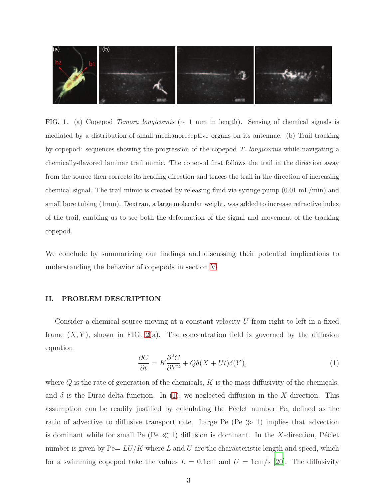

<span id="page-2-0"></span>FIG. 1. (a) Copepod *Temora longicornis* (∼ 1 mm in length). Sensing of chemical signals is mediated by a distribution of small mechanoreceptive organs on its antennae. (b) Trail tracking by copepod: sequences showing the progression of the copepod *T. longicornis* while navigating a chemically-flavored laminar trail mimic. The copepod first follows the trail in the direction away from the source then corrects its heading direction and traces the trail in the direction of increasing chemical signal. The trail mimic is created by releasing fluid via syringe pump (0.01 mL/min) and small bore tubing (1mm). Dextran, a large molecular weight, was added to increase refractive index of the trail, enabling us to see both the deformation of the signal and movement of the tracking copepod.

We conclude by summarizing our findings and discussing their potential implications to understanding the behavior of copepods in section [V.](#page-10-0)

## <span id="page-2-1"></span>II. PROBLEM DESCRIPTION

Consider a chemical source moving at a constant velocity U from right to left in a fixed frame  $(X, Y)$ , shown in FIG. [2\(](#page-3-0)a). The concentration field is governed by the diffusion equation

<span id="page-2-2"></span>
$$
\frac{\partial C}{\partial t} = K \frac{\partial^2 C}{\partial Y^2} + Q \delta(X + Ut) \delta(Y),\tag{1}
$$

where  $Q$  is the rate of generation of the chemicals,  $K$  is the mass diffusivity of the chemicals, and  $\delta$  is the Dirac-delta function. In [\(1\)](#page-2-2), we neglected diffusion in the X-direction. This assumption can be readily justified by calculating the Péclet number Pe, defined as the ratio of advective to diffusive transport rate. Large Pe (Pe  $\gg$  1) implies that advection is dominant while for small Pe (Pe  $\ll$  1) diffusion is dominant. In the X-direction, Péclet number is given by  $Pe=LU/K$  where L and U are the characteristic length and speed, which for a swimming copepod take the values  $L = 0.1$ cm and  $U = 1$ cm/s [\[20\]](#page-14-2). The diffusivity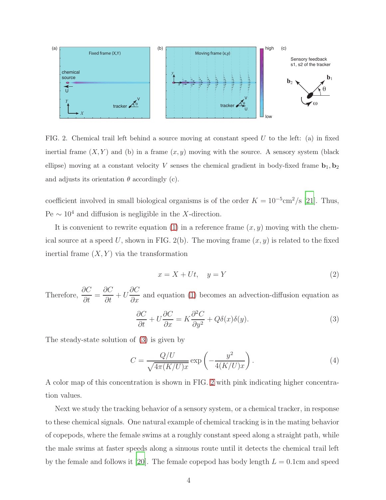

<span id="page-3-0"></span>FIG. 2. Chemical trail left behind a source moving at constant speed  $U$  to the left: (a) in fixed inertial frame  $(X, Y)$  and (b) in a frame  $(x, y)$  moving with the source. A sensory system (black ellipse) moving at a constant velocity V senses the chemical gradient in body-fixed frame  $\mathbf{b}_1, \mathbf{b}_2$ and adjusts its orientation  $\theta$  accordingly (c).

coefficient involved in small biological organisms is of the order  $K = 10^{-5}$ cm<sup>2</sup>/s [\[21\]](#page-14-3). Thus, Pe  $\sim 10^4$  and diffusion is negligible in the X-direction.

It is convenient to rewrite equation [\(1\)](#page-2-2) in a reference frame  $(x, y)$  moving with the chemical source at a speed U, shown in FIG. 2(b). The moving frame  $(x, y)$  is related to the fixed inertial frame  $(X, Y)$  via the transformation

$$
x = X + Ut, \quad y = Y \tag{2}
$$

Therefore,  $\frac{\partial C}{\partial t}$  $\frac{\partial}{\partial t}$  = ∂C  $\frac{\partial}{\partial t} + U$ ∂C  $\frac{\partial z}{\partial x}$  and equation [\(1\)](#page-2-2) becomes an advection-diffusion equation as

<span id="page-3-1"></span>
$$
\frac{\partial C}{\partial t} + U \frac{\partial C}{\partial x} = K \frac{\partial^2 C}{\partial y^2} + Q \delta(x) \delta(y). \tag{3}
$$

The steady-state solution of [\(3\)](#page-3-1) is given by

$$
C = \frac{Q/U}{\sqrt{4\pi (K/U)x}} \exp\left(-\frac{y^2}{4(K/U)x}\right). \tag{4}
$$

A color map of this concentration is shown in FIG. [2](#page-3-0) with pink indicating higher concentration values.

Next we study the tracking behavior of a sensory system, or a chemical tracker, in response to these chemical signals. One natural example of chemical tracking is in the mating behavior of copepods, where the female swims at a roughly constant speed along a straight path, while the male swims at faster speeds along a sinuous route until it detects the chemical trail left by the female and follows it [\[20](#page-14-2)]. The female copepod has body length  $L = 0.1$ cm and speed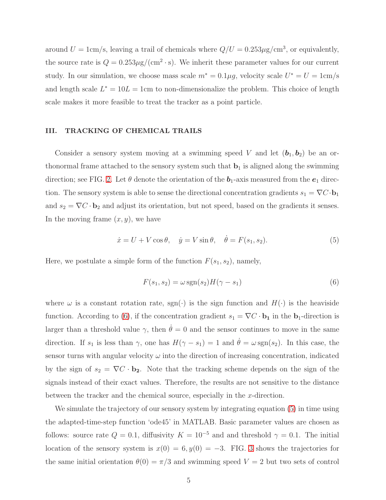around  $U = 1 \text{cm/s}$ , leaving a trail of chemicals where  $Q/U = 0.253 \mu\text{g/cm}^3$ , or equivalently, the source rate is  $Q = 0.253 \mu$ g/(cm<sup>2</sup>·s). We inherit these parameter values for our current study. In our simulation, we choose mass scale  $m^* = 0.1 \mu g$ , velocity scale  $U^* = U = 1 \text{cm/s}$ and length scale  $L^* = 10L = 1$ cm to non-dimensionalize the problem. This choice of length scale makes it more feasible to treat the tracker as a point particle.

#### <span id="page-4-0"></span>III. TRACKING OF CHEMICAL TRAILS

Consider a sensory system moving at a swimming speed V and let  $(b_1, b_2)$  be an orthonormal frame attached to the sensory system such that  $\mathbf{b}_1$  is aligned along the swimming direction; see FIG. [2.](#page-3-0) Let  $\theta$  denote the orientation of the  $b_1$ -axis measured from the  $e_1$  direction. The sensory system is able to sense the directional concentration gradients  $s_1 = \nabla C \cdot \mathbf{b}_1$ and  $s_2 = \nabla C \cdot \mathbf{b}_2$  and adjust its orientation, but not speed, based on the gradients it senses. In the moving frame  $(x, y)$ , we have

<span id="page-4-2"></span>
$$
\dot{x} = U + V \cos \theta, \quad \dot{y} = V \sin \theta, \quad \dot{\theta} = F(s_1, s_2). \tag{5}
$$

Here, we postulate a simple form of the function  $F(s_1, s_2)$ , namely,

<span id="page-4-1"></span>
$$
F(s_1, s_2) = \omega \operatorname{sgn}(s_2) H(\gamma - s_1)
$$
\n<sup>(6)</sup>

where  $\omega$  is a constant rotation rate, sgn( $\cdot$ ) is the sign function and  $H(\cdot)$  is the heaviside function. According to [\(6\)](#page-4-1), if the concentration gradient  $s_1 = \nabla C \cdot \mathbf{b_1}$  in the  $\mathbf{b_1}$ -direction is larger than a threshold value  $\gamma$ , then  $\dot{\theta} = 0$  and the sensor continues to move in the same direction. If  $s_1$  is less than  $\gamma$ , one has  $H(\gamma - s_1) = 1$  and  $\dot{\theta} = \omega \text{sgn}(s_2)$ . In this case, the sensor turns with angular velocity  $\omega$  into the direction of increasing concentration, indicated by the sign of  $s_2 = \nabla C \cdot \mathbf{b}_2$ . Note that the tracking scheme depends on the sign of the signals instead of their exact values. Therefore, the results are not sensitive to the distance between the tracker and the chemical source, especially in the x-direction.

We simulate the trajectory of our sensory system by integrating equation [\(5\)](#page-4-2) in time using the adapted-time-step function 'ode45' in MATLAB. Basic parameter values are chosen as follows: source rate  $Q = 0.1$ , diffusivity  $K = 10^{-5}$  and and threshold  $\gamma = 0.1$ . The initial location of the sensory system is  $x(0) = 6, y(0) = -3$ . FIG. [3](#page-5-0) shows the trajectories for the same initial orientation  $\theta(0) = \pi/3$  and swimming speed  $V = 2$  but two sets of control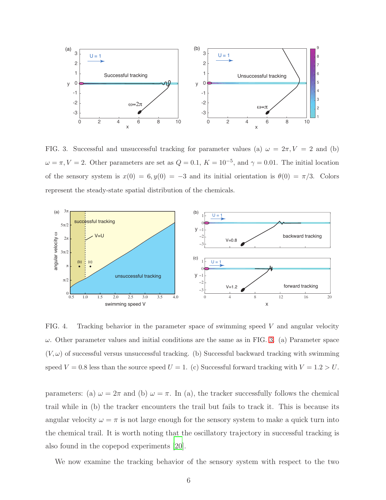

<span id="page-5-0"></span>FIG. 3. Successful and unsuccessful tracking for parameter values (a)  $\omega = 2\pi$ ,  $V = 2$  and (b)  $\omega = \pi, V = 2$ . Other parameters are set as  $Q = 0.1, K = 10^{-5}$ , and  $\gamma = 0.01$ . The initial location of the sensory system is  $x(0) = 6, y(0) = -3$  and its initial orientation is  $\theta(0) = \pi/3$ . Colors represent the steady-state spatial distribution of the chemicals.



<span id="page-5-1"></span>FIG. 4. Tracking behavior in the parameter space of swimming speed  $V$  and angular velocity  $\omega$ . Other parameter values and initial conditions are the same as in FIG. [3.](#page-5-0) (a) Parameter space  $(V, \omega)$  of successful versus unsuccessful tracking. (b) Successful backward tracking with swimming speed  $V = 0.8$  less than the source speed  $U = 1$ . (c) Successful forward tracking with  $V = 1.2 > U$ .

parameters: (a)  $\omega = 2\pi$  and (b)  $\omega = \pi$ . In (a), the tracker successfully follows the chemical trail while in (b) the tracker encounters the trail but fails to track it. This is because its angular velocity  $\omega = \pi$  is not large enough for the sensory system to make a quick turn into the chemical trail. It is worth noting that the oscillatory trajectory in successful tracking is also found in the copepod experiments [\[20\]](#page-14-2).

We now examine the tracking behavior of the sensory system with respect to the two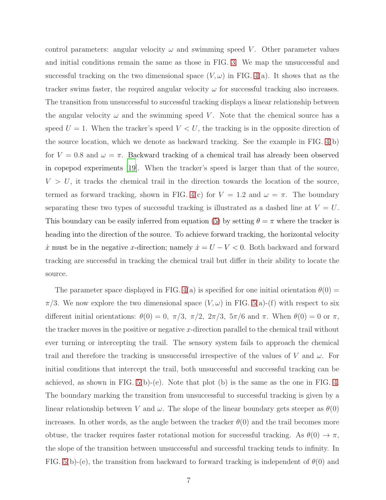control parameters: angular velocity  $\omega$  and swimming speed V. Other parameter values and initial conditions remain the same as those in FIG. [3.](#page-5-0) We map the unsuccessful and successful tracking on the two dimensional space  $(V, \omega)$  in FIG. [4\(](#page-5-1)a). It shows that as the tracker swims faster, the required angular velocity  $\omega$  for successful tracking also increases. The transition from unsuccessful to successful tracking displays a linear relationship between the angular velocity  $\omega$  and the swimming speed V. Note that the chemical source has a speed  $U = 1$ . When the tracker's speed  $V < U$ , the tracking is in the opposite direction of the source location, which we denote as backward tracking. See the example in FIG. [4\(](#page-5-1)b) for  $V = 0.8$  and  $\omega = \pi$ . Backward tracking of a chemical trail has already been observed in copepod experiments [\[19](#page-14-1)]. When the tracker's speed is larger than that of the source,  $V > U$ , it tracks the chemical trail in the direction towards the location of the source, termed as forward tracking, shown in FIG. [4\(](#page-5-1)c) for  $V = 1.2$  and  $\omega = \pi$ . The boundary separating these two types of successful tracking is illustrated as a dashed line at  $V = U$ . This boundary can be easily inferred from equation [\(5\)](#page-4-2) by setting  $\theta = \pi$  where the tracker is heading into the direction of the source. To achieve forward tracking, the horizontal velocity  $\dot{x}$  must be in the negative x-direction; namely  $\dot{x} = U - V < 0$ . Both backward and forward tracking are successful in tracking the chemical trail but differ in their ability to locate the source.

The parameter space displayed in FIG. [4\(](#page-5-1)a) is specified for one initial orientation  $\theta(0)$  =  $\pi/3$ . We now explore the two dimensional space  $(V, \omega)$  in FIG. [5\(](#page-7-1)a)-(f) with respect to six different initial orientations:  $\theta(0) = 0$ ,  $\pi/3$ ,  $\pi/2$ ,  $2\pi/3$ ,  $5\pi/6$  and  $\pi$ . When  $\theta(0) = 0$  or  $\pi$ , the tracker moves in the positive or negative x-direction parallel to the chemical trail without ever turning or intercepting the trail. The sensory system fails to approach the chemical trail and therefore the tracking is unsuccessful irrespective of the values of V and  $\omega$ . For initial conditions that intercept the trail, both unsuccessful and successful tracking can be achieved, as shown in FIG.  $5(b)-(e)$ . Note that plot (b) is the same as the one in FIG. [4.](#page-5-1) The boundary marking the transition from unsuccessful to successful tracking is given by a linear relationship between V and  $\omega$ . The slope of the linear boundary gets steeper as  $\theta(0)$ increases. In other words, as the angle between the tracker  $\theta(0)$  and the trail becomes more obtuse, the tracker requires faster rotational motion for successful tracking. As  $\theta(0) \to \pi$ , the slope of the transition between unsuccessful and successful tracking tends to infinity. In FIG. [5\(](#page-7-1)b)-(e), the transition from backward to forward tracking is independent of  $\theta(0)$  and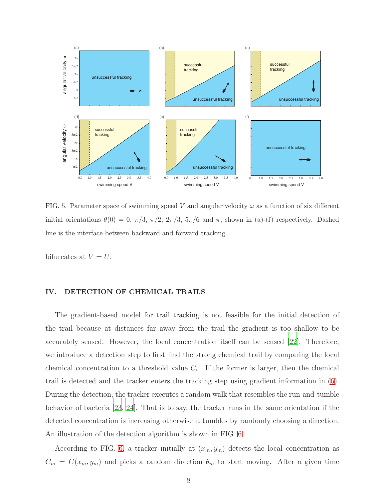

<span id="page-7-1"></span>FIG. 5. Parameter space of swimming speed V and angular velocity  $\omega$  as a function of six different initial orientations  $\theta(0) = 0$ ,  $\pi/3$ ,  $\pi/2$ ,  $2\pi/3$ ,  $5\pi/6$  and  $\pi$ , shown in (a)-(f) respectively. Dashed line is the interface between backward and forward tracking.

bifurcates at  $V = U$ .

## <span id="page-7-0"></span>IV. DETECTION OF CHEMICAL TRAILS

The gradient-based model for trail tracking is not feasible for the initial detection of the trail because at distances far away from the trail the gradient is too shallow to be accurately sensed. However, the local concentration itself can be sensed [\[22](#page-14-4)]. Therefore, we introduce a detection step to first find the strong chemical trail by comparing the local chemical concentration to a threshold value  $C<sub>o</sub>$ . If the former is larger, then the chemical trail is detected and the tracker enters the tracking step using gradient information in [\(6\)](#page-4-1). During the detection, the tracker executes a random walk that resembles the run-and-tumble behavior of bacteria [\[23](#page-14-5), [24](#page-14-6)]. That is to say, the tracker runs in the same orientation if the detected concentration is increasing otherwise it tumbles by randomly choosing a direction. An illustration of the detection algorithm is shown in FIG. [6.](#page-8-0)

According to FIG. [6,](#page-8-0) a tracker initially at  $(x_m, y_m)$  detects the local concentration as  $C_m = C(x_m, y_m)$  and picks a random direction  $\theta_m$  to start moving. After a given time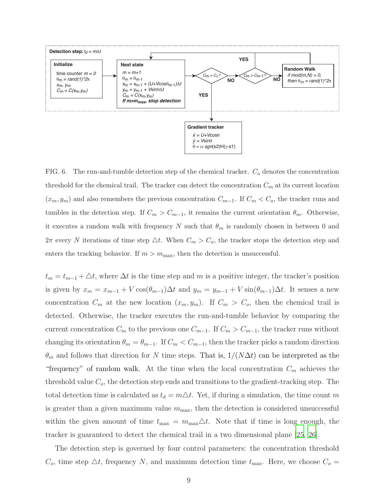

<span id="page-8-0"></span>FIG. 6. The run-and-tumble detection step of the chemical tracker.  $C<sub>o</sub>$  denotes the concentration threshold for the chemical trail. The tracker can detect the concentration  $C_m$  at its current location  $(x_m, y_m)$  and also remembers the previous concentration  $C_{m-1}$ . If  $C_m < C_o$ , the tracker runs and tumbles in the detection step. If  $C_m > C_{m-1}$ , it remains the current orientation  $\theta_m$ . Otherwise, it executes a random walk with frequency N such that  $\theta_m$  is randomly chosen in between 0 and  $2\pi$  every N iterations of time step  $\Delta t$ . When  $C_m > C_o$ , the tracker stops the detection step and enters the tracking behavior. If  $m > m_{\text{max}}$ , then the detection is unsuccessful.

 $t_m = t_{m-1} + \Delta t$ , where  $\Delta t$  is the time step and m is a positive integer, the tracker's position is given by  $x_m = x_{m-1} + V \cos(\theta_{m-1})\Delta t$  and  $y_m = y_{m-1} + V \sin(\theta_{m-1})\Delta t$ . It senses a new concentration  $C_m$  at the new location  $(x_m, y_m)$ . If  $C_m > C_o$ , then the chemical trail is detected. Otherwise, the tracker executes the run-and-tumble behavior by comparing the current concentration  $C_m$  to the previous one  $C_{m-1}$ . If  $C_m > C_{m-1}$ , the tracker runs without changing its orientation  $\theta_m = \theta_{m-1}$ . If  $C_m < C_{m-1}$ , then the tracker picks a random direction  $\theta_m$  and follows that direction for N time steps. That is,  $1/(N\Delta t)$  can be interpreted as the "frequency" of random walk. At the time when the local concentration  $C_m$  achieves the threshold value  $C<sub>o</sub>$ , the detection step ends and transitions to the gradient-tracking step. The total detection time is calculated as  $t_d = m\Delta t$ . Yet, if during a simulation, the time count m is greater than a given maximum value  $m_{\text{max}}$ , then the detection is considered unsuccessful within the given amount of time  $t_{\text{max}} = m_{\text{max}} \Delta t$ . Note that if time is long enough, the tracker is guaranteed to detect the chemical trail in a two dimensional plane [\[25](#page-14-7), [26\]](#page-14-8).

The detection step is governed by four control parameters: the concentration threshold  $C_o$ , time step  $\Delta t$ , frequency N, and maximum detection time  $t_{\text{max}}$ . Here, we choose  $C_o =$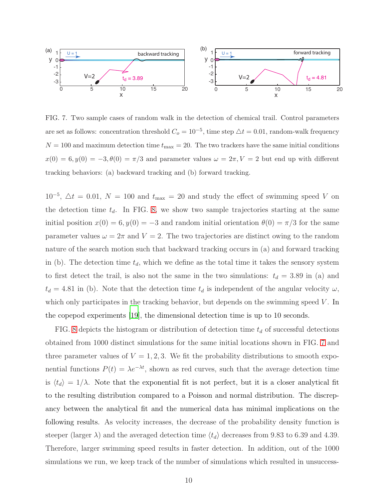

<span id="page-9-0"></span>FIG. 7. Two sample cases of random walk in the detection of chemical trail. Control parameters are set as follows: concentration threshold  $C<sub>o</sub> = 10<sup>-5</sup>$ , time step  $\triangle t = 0.01$ , random-walk frequency  $N = 100$  and maximum detection time  $t_{\text{max}} = 20$ . The two trackers have the same initial conditions  $x(0) = 6, y(0) = -3, \theta(0) = \pi/3$  and parameter values  $\omega = 2\pi, V = 2$  but end up with different tracking behaviors: (a) backward tracking and (b) forward tracking.

 $10^{-5}$ ,  $\Delta t = 0.01$ ,  $N = 100$  and  $t_{\text{max}} = 20$  and study the effect of swimming speed V on the detection time  $t_d$ . In FIG. [8,](#page-10-1) we show two sample trajectories starting at the same initial position  $x(0) = 6, y(0) = -3$  and random initial orientation  $\theta(0) = \pi/3$  for the same parameter values  $\omega = 2\pi$  and  $V = 2$ . The two trajectories are distinct owing to the random nature of the search motion such that backward tracking occurs in (a) and forward tracking in (b). The detection time  $t_d$ , which we define as the total time it takes the sensory system to first detect the trail, is also not the same in the two simulations:  $t_d = 3.89$  in (a) and  $t_d = 4.81$  in (b). Note that the detection time  $t_d$  is independent of the angular velocity  $\omega$ , which only participates in the tracking behavior, but depends on the swimming speed  $V$ . In the copepod experiments [\[19\]](#page-14-1), the dimensional detection time is up to 10 seconds.

FIG. [8](#page-10-1) depicts the histogram or distribution of detection time  $t_d$  of successful detections obtained from 1000 distinct simulations for the same initial locations shown in FIG. [7](#page-9-0) and three parameter values of  $V = 1, 2, 3$ . We fit the probability distributions to smooth exponential functions  $P(t) = \lambda e^{-\lambda t}$ , shown as red curves, such that the average detection time is  $\langle t_d \rangle = 1/\lambda$ . Note that the exponential fit is not perfect, but it is a closer analytical fit to the resulting distribution compared to a Poisson and normal distribution. The discrepancy between the analytical fit and the numerical data has minimal implications on the following results. As velocity increases, the decrease of the probability density function is steeper (larger  $\lambda$ ) and the averaged detection time  $\langle t_d \rangle$  decreases from 9.83 to 6.39 and 4.39. Therefore, larger swimming speed results in faster detection. In addition, out of the 1000 simulations we run, we keep track of the number of simulations which resulted in unsuccess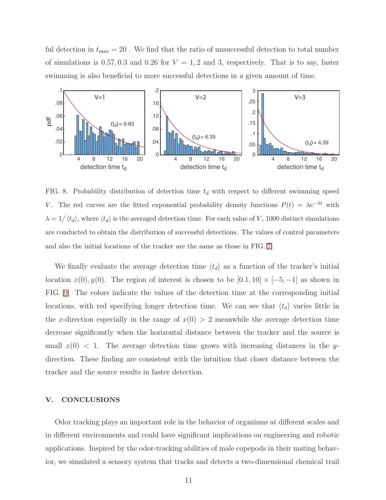ful detection in  $t_{\text{max}} = 20$ . We find that the ratio of unsuccessful detection to total number of simulations is 0.57, 0.3 and 0.26 for  $V = 1, 2$  and 3, respectively. That is to say, faster swimming is also beneficial to more successful detections in a given amount of time.



<span id="page-10-1"></span>FIG. 8. Probability distribution of detection time  $t_d$  with respect to different swimming speed V. The red curves are the fitted exponential probability density functions  $P(t) = \lambda e^{-\lambda t}$  with  $\lambda = 1/\langle t_d \rangle$ , where  $\langle t_d \rangle$  is the averaged detection time. For each value of V, 1000 distinct simulations are conducted to obtain the distribution of successful detections. The values of control parameters and also the initial locations of the tracker are the same as those in FIG. [7.](#page-9-0)

We finally evaluate the average detection time  $\langle t_d \rangle$  as a function of the tracker's initial location  $x(0), y(0)$ . The region of interest is chosen to be  $[0.1, 10] \times [-5, -1]$  as shown in FIG. [9.](#page-11-0) The colors indicate the values of the detection time at the corresponding initial locations, with red specifying longer detection time. We can see that  $\langle t_d \rangle$  varies little in the x-direction especially in the range of  $x(0) > 2$  meanwhile the average detection time decrease significantly when the horizontal distance between the tracker and the source is small  $x(0)$  < 1. The average detection time grows with increasing distances in the ydirection. These finding are consistent with the intuition that closer distance between the tracker and the source results in faster detection.

#### <span id="page-10-0"></span>V. CONCLUSIONS

Odor tracking plays an important role in the behavior of organisms at different scales and in different environments and could have significant implications on engineering and robotic applications. Inspired by the odor-tracking abilities of male copepods in their mating behavior, we simulated a sensory system that tracks and detects a two-dimensional chemical trail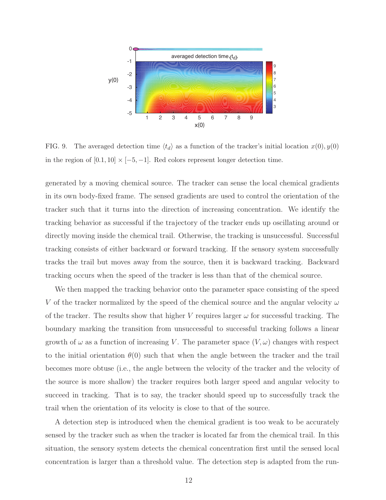

<span id="page-11-0"></span>FIG. 9. The averaged detection time  $\langle t_d \rangle$  as a function of the tracker's initial location  $x(0), y(0)$ in the region of  $[0.1, 10] \times [-5, -1]$ . Red colors represent longer detection time.

generated by a moving chemical source. The tracker can sense the local chemical gradients in its own body-fixed frame. The sensed gradients are used to control the orientation of the tracker such that it turns into the direction of increasing concentration. We identify the tracking behavior as successful if the trajectory of the tracker ends up oscillating around or directly moving inside the chemical trail. Otherwise, the tracking is unsuccessful. Successful tracking consists of either backward or forward tracking. If the sensory system successfully tracks the trail but moves away from the source, then it is backward tracking. Backward tracking occurs when the speed of the tracker is less than that of the chemical source.

We then mapped the tracking behavior onto the parameter space consisting of the speed V of the tracker normalized by the speed of the chemical source and the angular velocity  $\omega$ of the tracker. The results show that higher V requires larger  $\omega$  for successful tracking. The boundary marking the transition from unsuccessful to successful tracking follows a linear growth of  $\omega$  as a function of increasing V. The parameter space  $(V, \omega)$  changes with respect to the initial orientation  $\theta(0)$  such that when the angle between the tracker and the trail becomes more obtuse (i.e., the angle between the velocity of the tracker and the velocity of the source is more shallow) the tracker requires both larger speed and angular velocity to succeed in tracking. That is to say, the tracker should speed up to successfully track the trail when the orientation of its velocity is close to that of the source.

A detection step is introduced when the chemical gradient is too weak to be accurately sensed by the tracker such as when the tracker is located far from the chemical trail. In this situation, the sensory system detects the chemical concentration first until the sensed local concentration is larger than a threshold value. The detection step is adapted from the run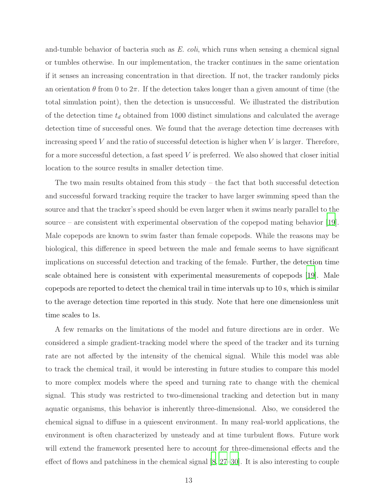and-tumble behavior of bacteria such as  $E.$  coli, which runs when sensing a chemical signal or tumbles otherwise. In our implementation, the tracker continues in the same orientation if it senses an increasing concentration in that direction. If not, the tracker randomly picks an orientation  $\theta$  from 0 to  $2\pi$ . If the detection takes longer than a given amount of time (the total simulation point), then the detection is unsuccessful. We illustrated the distribution of the detection time  $t_d$  obtained from 1000 distinct simulations and calculated the average detection time of successful ones. We found that the average detection time decreases with increasing speed  $V$  and the ratio of successful detection is higher when  $V$  is larger. Therefore, for a more successful detection, a fast speed  $V$  is preferred. We also showed that closer initial location to the source results in smaller detection time.

The two main results obtained from this study – the fact that both successful detection and successful forward tracking require the tracker to have larger swimming speed than the source and that the tracker's speed should be even larger when it swims nearly parallel to the source – are consistent with experimental observation of the copepod mating behavior [\[19\]](#page-14-1). Male copepods are known to swim faster than female copepods. While the reasons may be biological, this difference in speed between the male and female seems to have significant implications on successful detection and tracking of the female. Further, the detection time scale obtained here is consistent with experimental measurements of copepods [\[19](#page-14-1)]. Male copepods are reported to detect the chemical trail in time intervals up to 10 s, which is similar to the average detection time reported in this study. Note that here one dimensionless unit time scales to 1s.

A few remarks on the limitations of the model and future directions are in order. We considered a simple gradient-tracking model where the speed of the tracker and its turning rate are not affected by the intensity of the chemical signal. While this model was able to track the chemical trail, it would be interesting in future studies to compare this model to more complex models where the speed and turning rate to change with the chemical signal. This study was restricted to two-dimensional tracking and detection but in many aquatic organisms, this behavior is inherently three-dimensional. Also, we considered the chemical signal to diffuse in a quiescent environment. In many real-world applications, the environment is often characterized by unsteady and at time turbulent flows. Future work will extend the framework presented here to account for three-dimensional effects and the effect of flows and patchiness in the chemical signal [\[8](#page-13-6), [27](#page-14-9)[–30\]](#page-14-10). It is also interesting to couple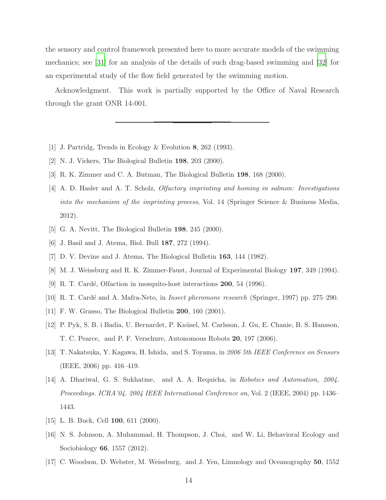the sensory and control framework presented here to more accurate models of the swimming mechanics; see [\[31\]](#page-14-11) for an analysis of the details of such drag-based swimming and [\[32\]](#page-14-12) for an experimental study of the flow field generated by the swimming motion.

Acknowledgment. This work is partially supported by the Office of Naval Research through the grant ONR 14-001.

- <span id="page-13-9"></span><span id="page-13-0"></span>[1] J. Partridg, Trends in Ecology & Evolution 8, 262 (1993).
- <span id="page-13-1"></span>[2] N. J. Vickers, The Biological Bulletin 198, 203 (2000).
- <span id="page-13-2"></span>[3] R. K. Zimmer and C. A. Butman, The Biological Bulletin 198, 168 (2000).
- [4] A. D. Hasler and A. T. Scholz, *Olfactory imprinting and homing in salmon: Investigations into the mechanism of the imprinting process*, Vol. 14 (Springer Science & Business Media, 2012).
- <span id="page-13-3"></span>[5] G. A. Nevitt, The Biological Bulletin 198, 245 (2000).
- <span id="page-13-4"></span>[6] J. Basil and J. Atema, Biol. Bull 187, 272 (1994).
- <span id="page-13-6"></span><span id="page-13-5"></span>[7] D. V. Devine and J. Atema, The Biological Bulletin 163, 144 (1982).
- [8] M. J. Weissburg and R. K. Zimmer-Faust, Journal of Experimental Biology 197, 349 (1994).
- <span id="page-13-7"></span>[9] R. T. Cardé, Olfaction in mosquito-host interactions **200**, 54 (1996).
- <span id="page-13-8"></span>[10] R. T. Card´e and A. Mafra-Neto, in *Insect pheromone research* (Springer, 1997) pp. 275–290.
- <span id="page-13-10"></span>[11] F. W. Grasso, The Biological Bulletin 200, 160 (2001).
- [12] P. Pyk, S. B. i Badia, U. Bernardet, P. Kn¨usel, M. Carlsson, J. Gu, E. Chanie, B. S. Hansson, T. C. Pearce, and P. F. Verschure, Autonomous Robots 20, 197 (2006).
- [13] T. Nakatsuka, Y. Kagawa, H. Ishida, and S. Toyama, in *2006 5th IEEE Conference on Sensors* (IEEE, 2006) pp. 416–419.
- <span id="page-13-11"></span>[14] A. Dhariwal, G. S. Sukhatme, and A. A. Requicha, in *Robotics and Automation, 2004. Proceedings. ICRA'04. 2004 IEEE International Conference on*, Vol. 2 (IEEE, 2004) pp. 1436– 1443.
- <span id="page-13-12"></span>[15] L. B. Buck, Cell **100**, 611 (2000).
- <span id="page-13-13"></span>[16] N. S. Johnson, A. Muhammad, H. Thompson, J. Choi, and W. Li, Behavioral Ecology and Sociobiology 66, 1557 (2012).
- <span id="page-13-14"></span>[17] C. Woodson, D. Webster, M. Weissburg, and J. Yen, Limnology and Oceanography 50, 1552